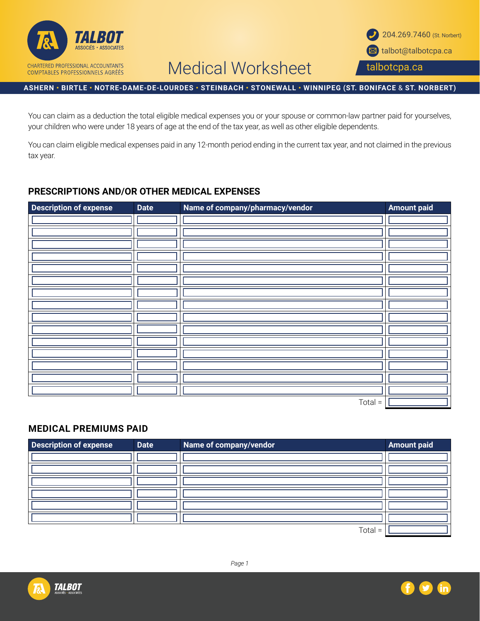

# Medical Worksheet

#### **ASHERN • BIRTLE • NOTRE-DAME-DE-LOURDES • STEINBACH • STONEWALL • WINNIPEG (ST. BONIFACE** & **ST. NORBERT)**

You can claim as a deduction the total eligible medical expenses you or your spouse or common-law partner paid for yourselves, your children who were under 18 years of age at the end of the tax year, as well as other eligible dependents.

You can claim eligible medical expenses paid in any 12-month period ending in the current tax year, and not claimed in the previous tax year.

### **PRESCRIPTIONS AND/OR OTHER MEDICAL EXPENSES**

| <b>Description of expense</b> | <b>Date</b> | Name of company/pharmacy/vendor | <b>Amount paid</b> |
|-------------------------------|-------------|---------------------------------|--------------------|
|                               |             |                                 |                    |
|                               |             |                                 |                    |
|                               |             |                                 |                    |
|                               |             |                                 |                    |
|                               |             |                                 |                    |
|                               |             |                                 |                    |
|                               |             |                                 |                    |
|                               |             |                                 |                    |
|                               |             |                                 |                    |
|                               |             |                                 |                    |
|                               |             |                                 |                    |
|                               |             |                                 |                    |
|                               |             |                                 |                    |
|                               |             |                                 |                    |
|                               |             |                                 |                    |
|                               |             | $Total =$                       |                    |

### **MEDICAL PREMIUMS PAID**

| <b>Description of expense</b> | <b>Date</b> | Name of company/vendor | <b>Amount paid</b> |
|-------------------------------|-------------|------------------------|--------------------|
|                               |             |                        |                    |
|                               |             |                        |                    |
|                               |             |                        |                    |
|                               |             |                        |                    |
|                               |             |                        |                    |
|                               |             |                        |                    |
|                               |             | $-1$                   |                    |

Total =  $|L$